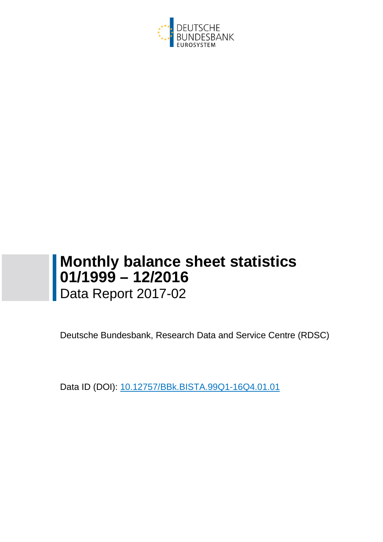

# **Monthly balance sheet statistics 01/1999 – 12/2016** Data Report 2017-02

Deutsche Bundesbank, Research Data and Service Centre (RDSC)

Data ID (DOI): 10.12757/BBk.BISTA.99Q1-16Q4.01.01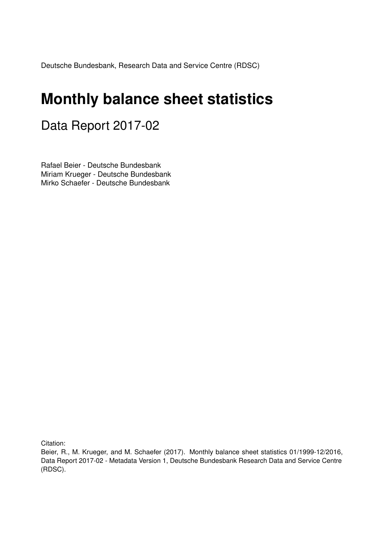Deutsche Bundesbank, Research Data and Service Centre (RDSC)

# **Monthly balance sheet statistics**

## Data Report 2017-02

Rafael Beier - Deutsche Bundesbank Miriam Krueger - Deutsche Bundesbank Mirko Schaefer - Deutsche Bundesbank

Citation:

Beier, R., M. Krueger, and M. Schaefer (2017). Monthly balance sheet statistics 01/1999-12/2016, Data Report 2017-02 - Metadata Version 1, Deutsche Bundesbank Research Data and Service Centre (RDSC).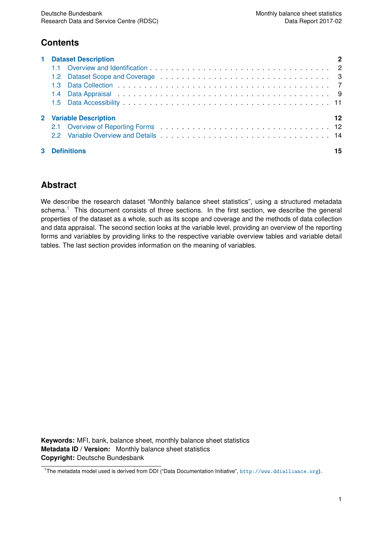## **Contents**

| <b>1</b> Dataset Description |    |
|------------------------------|----|
|                              |    |
|                              |    |
| 1.3.                         |    |
|                              |    |
|                              |    |
| 2 Variable Description       | 12 |
|                              |    |
|                              |    |
| <b>Definitions</b>           | 15 |

## **Abstract**

We describe the research dataset "Monthly balance sheet statistics", using a structured metadata schema.<sup>[1](#page-2-0)</sup> This document consists of three sections. In the first section, we describe the general properties of the dataset as a whole, such as its scope and coverage and the methods of data collection and data appraisal. The second section looks at the variable level, providing an overview of the reporting forms and variables by providing links to the respective variable overview tables and variable detail tables. The last section provides information on the meaning of variables.

**Keywords:** MFI, bank, balance sheet, monthly balance sheet statistics **Metadata ID / Version:** Monthly balance sheet statistics **Copyright:** Deutsche Bundesbank

<span id="page-2-0"></span><sup>&</sup>lt;sup>1</sup>The metadata model used is derived from DDI ("Data Documentation Initiative", <http://www.ddialliance.org>).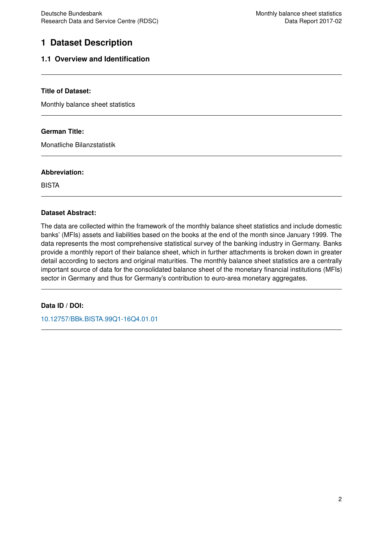## <span id="page-3-0"></span>**1 Dataset Description**

#### <span id="page-3-1"></span>**1.1 Overview and Identification**

#### **Title of Dataset:**

Monthly balance sheet statistics

#### **German Title:**

Monatliche Bilanzstatistik

#### **Abbreviation:**

BISTA

#### **Dataset Abstract:**

The data are collected within the framework of the monthly balance sheet statistics and include domestic banks' (MFIs) assets and liabilities based on the books at the end of the month since January 1999. The data represents the most comprehensive statistical survey of the banking industry in Germany. Banks provide a monthly report of their balance sheet, which in further attachments is broken down in greater detail according to sectors and original maturities. The monthly balance sheet statistics are a centrally important source of data for the consolidated balance sheet of the monetary financial institutions (MFIs) sector in Germany and thus for Germany's contribution to euro-area monetary aggregates.

#### **Data ID / DOI:**

[10.12757/BBk.BISTA.99Q1-16Q4.01.01](http://doi.org/10.12757/BBk.BISTA.99Q1-16Q4.01.01)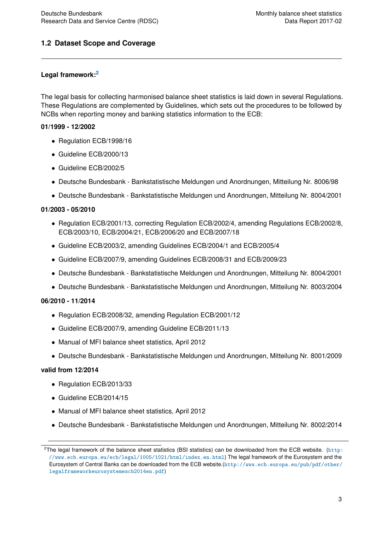#### <span id="page-4-0"></span>**1.2 Dataset Scope and Coverage**

#### **Legal framework:[2](#page-4-1)**

The legal basis for collecting harmonised balance sheet statistics is laid down in several Regulations. These Regulations are complemented by Guidelines, which sets out the procedures to be followed by NCBs when reporting money and banking statistics information to the ECB:

#### **01/1999 - 12/2002**

- Regulation ECB/1998/16
- Guideline ECB/2000/13
- Guideline ECB/2002/5
- Deutsche Bundesbank Bankstatistische Meldungen und Anordnungen, Mitteilung Nr. 8006/98
- Deutsche Bundesbank Bankstatistische Meldungen und Anordnungen, Mitteilung Nr. 8004/2001

#### **01/2003 - 05/2010**

- Regulation ECB/2001/13, correcting Regulation ECB/2002/4, amending Regulations ECB/2002/8, ECB/2003/10, ECB/2004/21, ECB/2006/20 and ECB/2007/18
- Guideline ECB/2003/2, amending Guidelines ECB/2004/1 and ECB/2005/4
- Guideline ECB/2007/9, amending Guidelines ECB/2008/31 and ECB/2009/23
- Deutsche Bundesbank Bankstatistische Meldungen und Anordnungen, Mitteilung Nr. 8004/2001
- Deutsche Bundesbank Bankstatistische Meldungen und Anordnungen, Mitteilung Nr. 8003/2004

#### **06/2010 - 11/2014**

- Regulation ECB/2008/32, amending Regulation ECB/2001/12
- Guideline ECB/2007/9, amending Guideline ECB/2011/13
- Manual of MFI balance sheet statistics, April 2012
- Deutsche Bundesbank Bankstatistische Meldungen und Anordnungen, Mitteilung Nr. 8001/2009

#### **valid from 12/2014**

- Regulation ECB/2013/33
- Guideline ECB/2014/15
- Manual of MFI balance sheet statistics, April 2012
- Deutsche Bundesbank Bankstatistische Meldungen und Anordnungen, Mitteilung Nr. 8002/2014

<span id="page-4-1"></span><sup>&</sup>lt;sup>2</sup>The legal framework of the balance sheet statistics (BSI statistics) can be downloaded from the ECB website. ([http:](http://www.ecb.europa.eu/ecb/legal/1005/1021/html/index.en.html) [//www.ecb.europa.eu/ecb/legal/1005/1021/html/index.en.html](http://www.ecb.europa.eu/ecb/legal/1005/1021/html/index.en.html)) The legal framework of the Eurosystem and the Eurosystem of Central Banks can be downloaded from the ECB website.([http://www.ecb.europa.eu/pub/pdf/other/](http://www.ecb.europa.eu/pub/pdf/other/legalframeworkeurosystemescb2014en.pdf) [legalframeworkeurosystemescb2014en.pdf](http://www.ecb.europa.eu/pub/pdf/other/legalframeworkeurosystemescb2014en.pdf))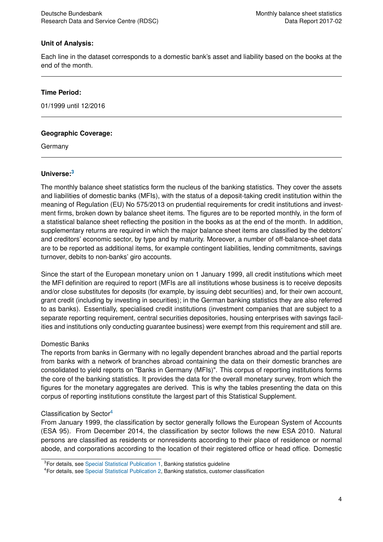#### **Unit of Analysis:**

Each line in the dataset corresponds to a domestic bank's asset and liability based on the books at the end of the month.

#### **Time Period:**

01/1999 until 12/2016

#### **Geographic Coverage:**

Germany

#### **Universe:[3](#page-5-0)**

The monthly balance sheet statistics form the nucleus of the banking statistics. They cover the assets and liabilities of domestic banks (MFIs), with the status of a deposit-taking credit institution within the meaning of Regulation (EU) No 575/2013 on prudential requirements for credit institutions and investment firms, broken down by balance sheet items. The figures are to be reported monthly, in the form of a statistical balance sheet reflecting the position in the books as at the end of the month. In addition, supplementary returns are required in which the major balance sheet items are classified by the debtors' and creditors' economic sector, by type and by maturity. Moreover, a number of off-balance-sheet data are to be reported as additional items, for example contingent liabilities, lending commitments, savings turnover, debits to non-banks' giro accounts.

Since the start of the European monetary union on 1 January 1999, all credit institutions which meet the MFI definition are required to report (MFIs are all institutions whose business is to receive deposits and/or close substitutes for deposits (for example, by issuing debt securities) and, for their own account, grant credit (including by investing in securities); in the German banking statistics they are also referred to as banks). Essentially, specialised credit institutions (investment companies that are subject to a separate reporting requirement, central securities depositories, housing enterprises with savings facilities and institutions only conducting guarantee business) were exempt from this requirement and still are.

#### Domestic Banks

The reports from banks in Germany with no legally dependent branches abroad and the partial reports from banks with a network of branches abroad containing the data on their domestic branches are consolidated to yield reports on "Banks in Germany (MFIs)". This corpus of reporting institutions forms the core of the banking statistics. It provides the data for the overall monetary survey, from which the figures for the monetary aggregates are derived. This is why the tables presenting the data on this corpus of reporting institutions constitute the largest part of this Statistical Supplement.

#### Classification by Sector[4](#page-5-1)

From January 1999, the classification by sector generally follows the European System of Accounts (ESA 95). From December 2014, the classification by sector follows the new ESA 2010. Natural persons are classified as residents or nonresidents according to their place of residence or normal abode, and corporations according to the location of their registered office or head office. Domestic

<span id="page-5-0"></span><sup>&</sup>lt;sup>3</sup>For details, see [Special Statistical Publication 1,](https://www.bundesbank.de/Navigation/EN/Publications/Statistics/Special_statistical_publications/Statso_1/special_statistical_publication_1.html) Banking statistics guideline

<span id="page-5-1"></span><sup>4</sup>For details, see [Special Statistical Publication 2,](https://www.bundesbank.de/Navigation/DE/Publikationen/Statistiken/Statistische_Sonderveroeffentlichungen/Statso_2/statistische_sonderveroeffentlichungen_2.html) Banking statistics, customer classification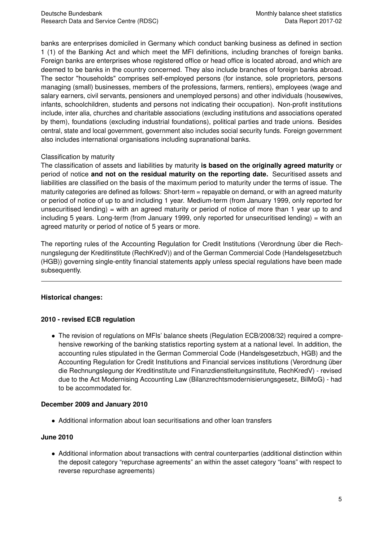banks are enterprises domiciled in Germany which conduct banking business as defined in section 1 (1) of the Banking Act and which meet the MFI definitions, including branches of foreign banks. Foreign banks are enterprises whose registered office or head office is located abroad, and which are deemed to be banks in the country concerned. They also include branches of foreign banks abroad. The sector "households" comprises self-employed persons (for instance, sole proprietors, persons managing (small) businesses, members of the professions, farmers, rentiers), employees (wage and salary earners, civil servants, pensioners and unemployed persons) and other individuals (housewives, infants, schoolchildren, students and persons not indicating their occupation). Non-profit institutions include, inter alia, churches and charitable associations (excluding institutions and associations operated by them), foundations (excluding industrial foundations), political parties and trade unions. Besides central, state and local government, government also includes social security funds. Foreign government also includes international organisations including supranational banks.

#### Classification by maturity

The classification of assets and liabilities by maturity **is based on the originally agreed maturity** or period of notice **and not on the residual maturity on the reporting date.** Securitised assets and liabilities are classified on the basis of the maximum period to maturity under the terms of issue. The maturity categories are defined as follows: Short-term = repayable on demand, or with an agreed maturity or period of notice of up to and including 1 year. Medium-term (from January 1999, only reported for unsecuritised lending) = with an agreed maturity or period of notice of more than 1 year up to and including 5 years. Long-term (from January 1999, only reported for unsecuritised lending) = with an agreed maturity or period of notice of 5 years or more.

The reporting rules of the Accounting Regulation for Credit Institutions (Verordnung über die Rechnungslegung der Kreditinstitute (RechKredV)) and of the German Commercial Code (Handelsgesetzbuch (HGB)) governing single-entity financial statements apply unless special regulations have been made subsequently.

#### **Historical changes:**

#### **2010 - revised ECB regulation**

• The revision of regulations on MFIs' balance sheets (Regulation ECB/2008/32) required a comprehensive reworking of the banking statistics reporting system at a national level. In addition, the accounting rules stipulated in the German Commercial Code (Handelsgesetzbuch, HGB) and the Accounting Regulation for Credit Institutions and Financial services institutions (Verordnung über die Rechnungslegung der Kreditinstitute und Finanzdienstleitungsinstitute, RechKredV) - revised due to the Act Modernising Accounting Law (Bilanzrechtsmodernisierungsgesetz, BilMoG) - had to be accommodated for.

#### **December 2009 and January 2010**

• Additional information about loan securitisations and other loan transfers

#### **June 2010**

• Additional information about transactions with central counterparties (additional distinction within the deposit category "repurchase agreements" an within the asset category "loans" with respect to reverse repurchase agreements)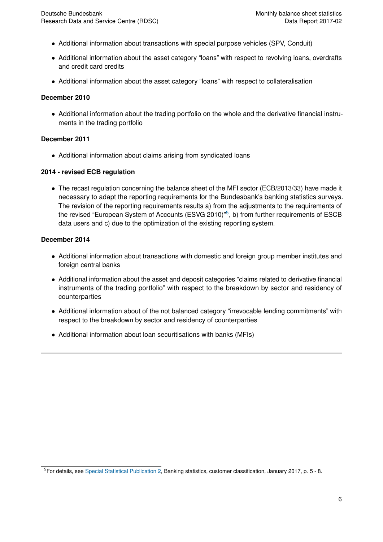- Additional information about transactions with special purpose vehicles (SPV, Conduit)
- Additional information about the asset category "loans" with respect to revolving loans, overdrafts and credit card credits
- Additional information about the asset category "loans" with respect to collateralisation

#### **December 2010**

• Additional information about the trading portfolio on the whole and the derivative financial instruments in the trading portfolio

#### **December 2011**

• Additional information about claims arising from syndicated loans

#### **2014 - revised ECB regulation**

• The recast regulation concerning the balance sheet of the MFI sector (ECB/2013/33) have made it necessary to adapt the reporting requirements for the Bundesbank's banking statistics surveys. The revision of the reporting requirements results a) from the adjustments to the requirements of the revised "European System of Accounts (ESVG 2010)"<sup>[5](#page-7-0)</sup>, b) from further requirements of ESCB data users and c) due to the optimization of the existing reporting system.

#### **December 2014**

- Additional information about transactions with domestic and foreign group member institutes and foreign central banks
- Additional information about the asset and deposit categories "claims related to derivative financial instruments of the trading portfolio" with respect to the breakdown by sector and residency of counterparties
- Additional information about of the not balanced category "irrevocable lending commitments" with respect to the breakdown by sector and residency of counterparties
- Additional information about loan securitisations with banks (MFIs)

<span id="page-7-0"></span><sup>5</sup>For details, see [Special Statistical Publication 2,](https://www.bundesbank.de/Navigation/DE/Publikationen/Statistiken/Statistische_Sonderveroeffentlichungen/Statso_2/statistische_sonderveroeffentlichungen_2.html) Banking statistics, customer classification, January 2017, p. 5 - 8.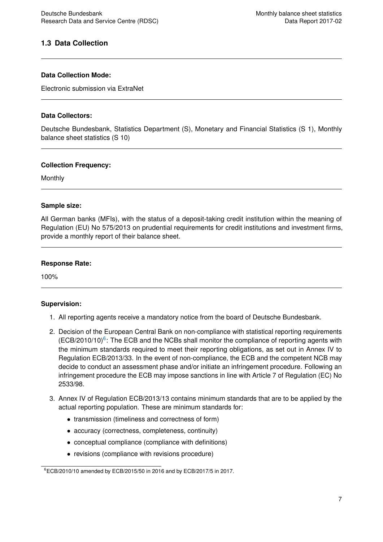#### <span id="page-8-0"></span>**1.3 Data Collection**

#### **Data Collection Mode:**

Electronic submission via ExtraNet

#### **Data Collectors:**

Deutsche Bundesbank, Statistics Department (S), Monetary and Financial Statistics (S 1), Monthly balance sheet statistics (S 10)

#### **Collection Frequency:**

Monthly

#### **Sample size:**

All German banks (MFIs), with the status of a deposit-taking credit institution within the meaning of Regulation (EU) No 575/2013 on prudential requirements for credit institutions and investment firms, provide a monthly report of their balance sheet.

#### **Response Rate:**

100%

#### **Supervision:**

- 1. All reporting agents receive a mandatory notice from the board of Deutsche Bundesbank.
- 2. Decision of the European Central Bank on non-compliance with statistical reporting requirements  $(ECB/2010/10)^6$  $(ECB/2010/10)^6$ : The ECB and the NCBs shall monitor the compliance of reporting agents with the minimum standards required to meet their reporting obligations, as set out in Annex IV to Regulation ECB/2013/33. In the event of non-compliance, the ECB and the competent NCB may decide to conduct an assessment phase and/or initiate an infringement procedure. Following an infringement procedure the ECB may impose sanctions in line with Article 7 of Regulation (EC) No 2533/98.
- 3. Annex IV of Regulation ECB/2013/13 contains minimum standards that are to be applied by the actual reporting population. These are minimum standards for:
	- transmission (timeliness and correctness of form)
	- accuracy (correctness, completeness, continuity)
	- conceptual compliance (compliance with definitions)
	- revisions (compliance with revisions procedure)

<span id="page-8-1"></span><sup>6</sup>ECB/2010/10 amended by ECB/2015/50 in 2016 and by ECB/2017/5 in 2017.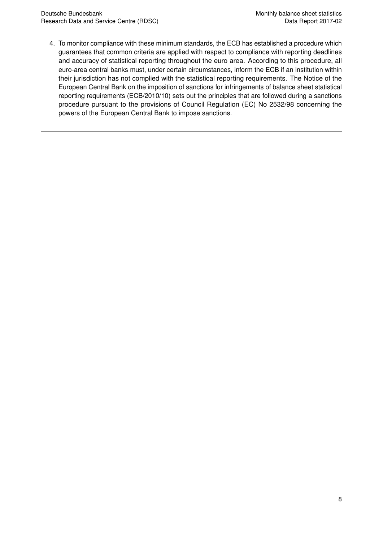4. To monitor compliance with these minimum standards, the ECB has established a procedure which guarantees that common criteria are applied with respect to compliance with reporting deadlines and accuracy of statistical reporting throughout the euro area. According to this procedure, all euro-area central banks must, under certain circumstances, inform the ECB if an institution within their jurisdiction has not complied with the statistical reporting requirements. The Notice of the European Central Bank on the imposition of sanctions for infringements of balance sheet statistical reporting requirements (ECB/2010/10) sets out the principles that are followed during a sanctions procedure pursuant to the provisions of Council Regulation (EC) No 2532/98 concerning the powers of the European Central Bank to impose sanctions.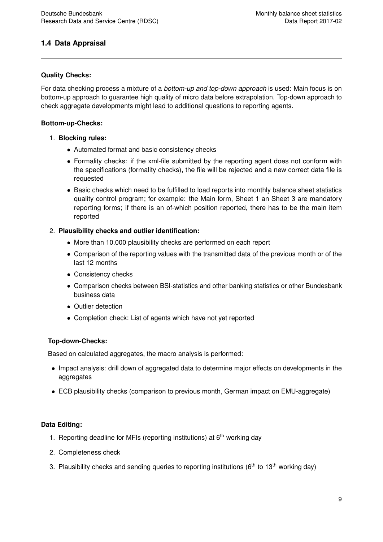#### <span id="page-10-0"></span>**1.4 Data Appraisal**

#### **Quality Checks:**

For data checking process a mixture of a *bottom-up and top-down approach* is used: Main focus is on bottom-up approach to guarantee high quality of micro data before extrapolation. Top-down approach to check aggregate developments might lead to additional questions to reporting agents.

#### **Bottom-up-Checks:**

#### 1. **Blocking rules:**

- Automated format and basic consistency checks
- Formality checks: if the xml-file submitted by the reporting agent does not conform with the specifications (formality checks), the file will be rejected and a new correct data file is requested
- Basic checks which need to be fulfilled to load reports into monthly balance sheet statistics quality control program; for example: the Main form, Sheet 1 an Sheet 3 are mandatory reporting forms; if there is an of-which position reported, there has to be the main item reported

#### 2. **Plausibility checks and outlier identification:**

- More than 10.000 plausibility checks are performed on each report
- Comparison of the reporting values with the transmitted data of the previous month or of the last 12 months
- Consistency checks
- Comparison checks between BSI-statistics and other banking statistics or other Bundesbank business data
- Outlier detection
- Completion check: List of agents which have not yet reported

#### **Top-down-Checks:**

Based on calculated aggregates, the macro analysis is performed:

- Impact analysis: drill down of aggregated data to determine major effects on developments in the aggregates
- ECB plausibility checks (comparison to previous month, German impact on EMU-aggregate)

#### **Data Editing:**

- 1. Reporting deadline for MFIs (reporting institutions) at  $6<sup>th</sup>$  working day
- 2. Completeness check
- 3. Plausibility checks and sending queries to reporting institutions ( $6<sup>th</sup>$  to 13<sup>th</sup> working day)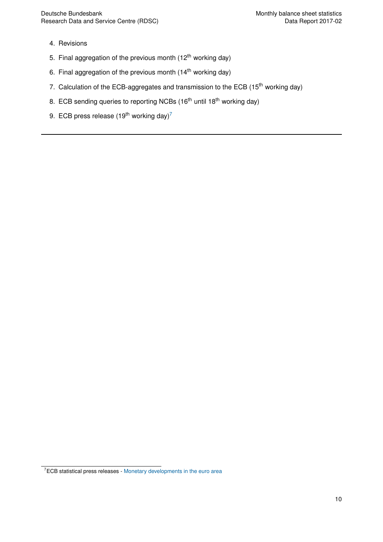- 4. Revisions
- 5. Final aggregation of the previous month  $(12<sup>th</sup>$  working day)
- 6. Final aggregation of the previous month  $(14<sup>th</sup>$  working day)
- 7. Calculation of the ECB-aggregates and transmission to the ECB (15<sup>th</sup> working day)
- 8. ECB sending queries to reporting NCBs (16<sup>th</sup> until 18<sup>th</sup> working day)
- 9. ECB press release (19<sup>th</sup> working day)<sup>[7](#page-11-0)</sup>

<span id="page-11-0"></span> $7ECB$  statistical press releases - [Monetary developments in the euro area](https://www.ecb.europa.eu/press/pr/stats/md/html/index.en.html)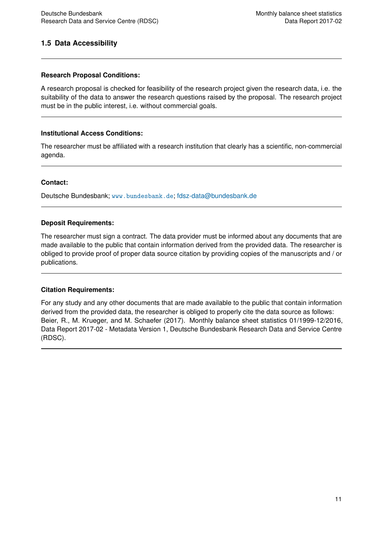#### <span id="page-12-0"></span>**1.5 Data Accessibility**

#### **Research Proposal Conditions:**

A research proposal is checked for feasibility of the research project given the research data, i.e. the suitability of the data to answer the research questions raised by the proposal. The research project must be in the public interest, i.e. without commercial goals.

#### **Institutional Access Conditions:**

The researcher must be affiliated with a research institution that clearly has a scientific, non-commercial agenda.

#### **Contact:**

Deutsche Bundesbank; <www.bundesbank.de>; [fdsz-data@bundesbank.de](mailto:fdsz-data@bundesbank.de)

#### **Deposit Requirements:**

The researcher must sign a contract. The data provider must be informed about any documents that are made available to the public that contain information derived from the provided data. The researcher is obliged to provide proof of proper data source citation by providing copies of the manuscripts and / or publications.

#### **Citation Requirements:**

For any study and any other documents that are made available to the public that contain information derived from the provided data, the researcher is obliged to properly cite the data source as follows: Beier, R., M. Krueger, and M. Schaefer (2017). Monthly balance sheet statistics 01/1999-12/2016, Data Report 2017-02 - Metadata Version 1, Deutsche Bundesbank Research Data and Service Centre (RDSC).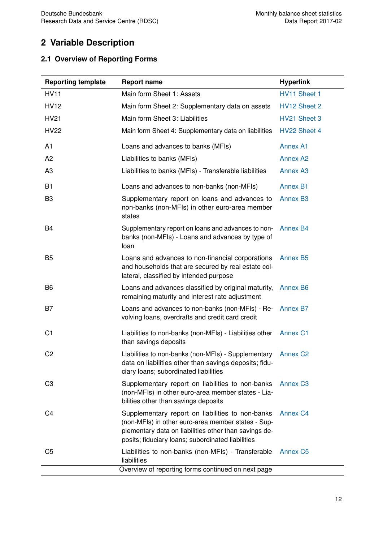## <span id="page-13-0"></span>**2 Variable Description**

### <span id="page-13-1"></span>**2.1 Overview of Reporting Forms**

| <b>Reporting template</b> | <b>Report name</b>                                                                                                                                                                                                   | <b>Hyperlink</b> |
|---------------------------|----------------------------------------------------------------------------------------------------------------------------------------------------------------------------------------------------------------------|------------------|
| <b>HV11</b>               | Main form Sheet 1: Assets                                                                                                                                                                                            | HV11 Sheet 1     |
| <b>HV12</b>               | Main form Sheet 2: Supplementary data on assets                                                                                                                                                                      | HV12 Sheet 2     |
| <b>HV21</b>               | Main form Sheet 3: Liabilities                                                                                                                                                                                       | HV21 Sheet 3     |
| <b>HV22</b>               | Main form Sheet 4: Supplementary data on liabilities                                                                                                                                                                 | HV22 Sheet 4     |
| A <sub>1</sub>            | Loans and advances to banks (MFIs)                                                                                                                                                                                   | <b>Annex A1</b>  |
| A <sub>2</sub>            | Liabilities to banks (MFIs)                                                                                                                                                                                          | <b>Annex A2</b>  |
| A <sub>3</sub>            | Liabilities to banks (MFIs) - Transferable liabilities                                                                                                                                                               | <b>Annex A3</b>  |
| <b>B1</b>                 | Loans and advances to non-banks (non-MFIs)                                                                                                                                                                           | <b>Annex B1</b>  |
| B <sub>3</sub>            | Supplementary report on loans and advances to<br>non-banks (non-MFIs) in other euro-area member<br>states                                                                                                            | <b>Annex B3</b>  |
| B4                        | Supplementary report on loans and advances to non-<br>banks (non-MFIs) - Loans and advances by type of<br>loan                                                                                                       | <b>Annex B4</b>  |
| B <sub>5</sub>            | Loans and advances to non-financial corporations<br>and households that are secured by real estate col-<br>lateral, classified by intended purpose                                                                   | <b>Annex B5</b>  |
| B <sub>6</sub>            | Loans and advances classified by original maturity,<br>remaining maturity and interest rate adjustment                                                                                                               | <b>Annex B6</b>  |
| B7                        | Loans and advances to non-banks (non-MFIs) - Re-<br>volving loans, overdrafts and credit card credit                                                                                                                 | <b>Annex B7</b>  |
| C <sub>1</sub>            | Liabilities to non-banks (non-MFIs) - Liabilities other<br>than savings deposits                                                                                                                                     | <b>Annex C1</b>  |
| C <sub>2</sub>            | Liabilities to non-banks (non-MFIs) - Supplementary<br>data on liabilities other than savings deposits; fidu-<br>ciary loans; subordinated liabilities                                                               | <b>Annex C2</b>  |
| C <sub>3</sub>            | Supplementary report on liabilities to non-banks<br>(non-MFIs) in other euro-area member states - Lia-<br>bilities other than savings deposits                                                                       | <b>Annex C3</b>  |
| C4                        | Supplementary report on liabilities to non-banks<br>(non-MFIs) in other euro-area member states - Sup-<br>plementary data on liabilities other than savings de-<br>posits; fiduciary loans; subordinated liabilities | <b>Annex C4</b>  |
| C <sub>5</sub>            | Liabilities to non-banks (non-MFIs) - Transferable<br>liabilities                                                                                                                                                    | <b>Annex C5</b>  |
|                           | Overview of reporting forms continued on next page                                                                                                                                                                   |                  |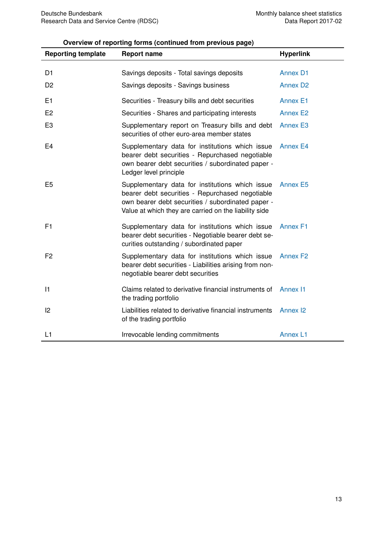#### **Overview of reporting forms (continued from previous page)**

| <b>Reporting template</b> | <b>Report name</b>                                                                                                                                                                                               | <b>Hyperlink</b> |
|---------------------------|------------------------------------------------------------------------------------------------------------------------------------------------------------------------------------------------------------------|------------------|
|                           |                                                                                                                                                                                                                  |                  |
| D <sub>1</sub>            | Savings deposits - Total savings deposits                                                                                                                                                                        | <b>Annex D1</b>  |
| D <sub>2</sub>            | Savings deposits - Savings business                                                                                                                                                                              | <b>Annex D2</b>  |
| E <sub>1</sub>            | Securities - Treasury bills and debt securities                                                                                                                                                                  | <b>Annex E1</b>  |
| E <sub>2</sub>            | Securities - Shares and participating interests                                                                                                                                                                  | <b>Annex E2</b>  |
| E <sub>3</sub>            | Supplementary report on Treasury bills and debt<br>securities of other euro-area member states                                                                                                                   | <b>Annex E3</b>  |
| E <sub>4</sub>            | Supplementary data for institutions which issue<br>bearer debt securities - Repurchased negotiable<br>own bearer debt securities / subordinated paper -<br>Ledger level principle                                | <b>Annex E4</b>  |
| E <sub>5</sub>            | Supplementary data for institutions which issue<br>bearer debt securities - Repurchased negotiable<br>own bearer debt securities / subordinated paper -<br>Value at which they are carried on the liability side | Annex E5         |
| F1                        | Supplementary data for institutions which issue<br>bearer debt securities - Negotiable bearer debt se-<br>curities outstanding / subordinated paper                                                              | <b>Annex F1</b>  |
| F <sub>2</sub>            | Supplementary data for institutions which issue<br>bearer debt securities - Liabilities arising from non-<br>negotiable bearer debt securities                                                                   | <b>Annex F2</b>  |
| 1                         | Claims related to derivative financial instruments of<br>the trading portfolio                                                                                                                                   | <b>Annex I1</b>  |
| 2                         | Liabilities related to derivative financial instruments<br>of the trading portfolio                                                                                                                              | <b>Annex I2</b>  |
| L1                        | Irrevocable lending commitments                                                                                                                                                                                  | <b>Annex L1</b>  |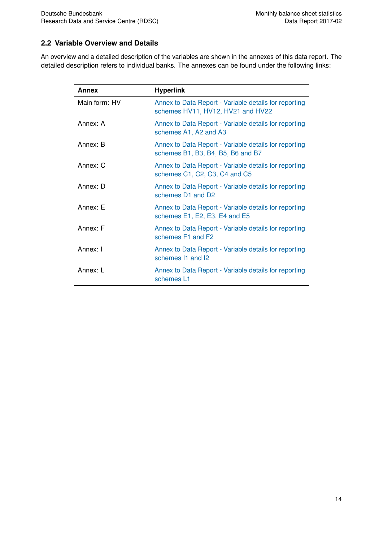#### <span id="page-15-0"></span>**2.2 Variable Overview and Details**

An overview and a detailed description of the variables are shown in the annexes of this data report. The detailed description refers to individual banks. The annexes can be found under the following links:

| Annex         | <b>Hyperlink</b>                                                                           |
|---------------|--------------------------------------------------------------------------------------------|
| Main form: HV | Annex to Data Report - Variable details for reporting<br>schemes HV11, HV12, HV21 and HV22 |
| Annex: A      | Annex to Data Report - Variable details for reporting<br>schemes A1, A2 and A3             |
| Annex: B      | Annex to Data Report - Variable details for reporting<br>schemes B1, B3, B4, B5, B6 and B7 |
| Annex: C      | Annex to Data Report - Variable details for reporting<br>schemes C1, C2, C3, C4 and C5     |
| Annex: D      | Annex to Data Report - Variable details for reporting<br>schemes D1 and D2                 |
| Annex: E      | Annex to Data Report - Variable details for reporting<br>schemes E1, E2, E3, E4 and E5     |
| Annex: F      | Annex to Data Report - Variable details for reporting<br>schemes F1 and F2                 |
| Annex: I      | Annex to Data Report - Variable details for reporting<br>schemes 11 and 12                 |
| Annex: L      | Annex to Data Report - Variable details for reporting<br>schemes L1                        |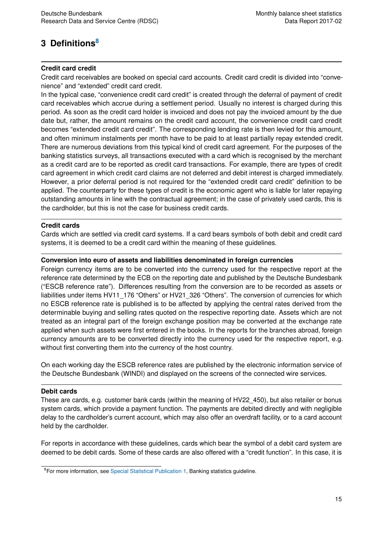## <span id="page-16-0"></span>**3 Definitions[8](#page-16-1)**

#### **Credit card credit**

Credit card receivables are booked on special card accounts. Credit card credit is divided into "convenience" and "extended" credit card credit.

In the typical case, "convenience credit card credit" is created through the deferral of payment of credit card receivables which accrue during a settlement period. Usually no interest is charged during this period. As soon as the credit card holder is invoiced and does not pay the invoiced amount by the due date but, rather, the amount remains on the credit card account, the convenience credit card credit becomes "extended credit card credit". The corresponding lending rate is then levied for this amount, and often minimum instalments per month have to be paid to at least partially repay extended credit. There are numerous deviations from this typical kind of credit card agreement. For the purposes of the banking statistics surveys, all transactions executed with a card which is recognised by the merchant as a credit card are to be reported as credit card transactions. For example, there are types of credit card agreement in which credit card claims are not deferred and debit interest is charged immediately. However, a prior deferral period is not required for the "extended credit card credit" definition to be applied. The counterparty for these types of credit is the economic agent who is liable for later repaying outstanding amounts in line with the contractual agreement; in the case of privately used cards, this is the cardholder, but this is not the case for business credit cards.

#### **Credit cards**

Cards which are settled via credit card systems. If a card bears symbols of both debit and credit card systems, it is deemed to be a credit card within the meaning of these guidelines.

#### **Conversion into euro of assets and liabilities denominated in foreign currencies**

Foreign currency items are to be converted into the currency used for the respective report at the reference rate determined by the ECB on the reporting date and published by the Deutsche Bundesbank ("ESCB reference rate"). Differences resulting from the conversion are to be recorded as assets or liabilities under items HV11\_176 "Others" or HV21\_326 "Others". The conversion of currencies for which no ESCB reference rate is published is to be affected by applying the central rates derived from the determinable buying and selling rates quoted on the respective reporting date. Assets which are not treated as an integral part of the foreign exchange position may be converted at the exchange rate applied when such assets were first entered in the books. In the reports for the branches abroad, foreign currency amounts are to be converted directly into the currency used for the respective report, e.g. without first converting them into the currency of the host country.

On each working day the ESCB reference rates are published by the electronic information service of the Deutsche Bundesbank (WINDI) and displayed on the screens of the connected wire services.

#### **Debit cards**

These are cards, e.g. customer bank cards (within the meaning of HV22\_450), but also retailer or bonus system cards, which provide a payment function. The payments are debited directly and with negligible delay to the cardholder's current account, which may also offer an overdraft facility, or to a card account held by the cardholder.

For reports in accordance with these guidelines, cards which bear the symbol of a debit card system are deemed to be debit cards. Some of these cards are also offered with a "credit function". In this case, it is

<span id="page-16-1"></span><sup>&</sup>lt;sup>8</sup>For more information, see [Special Statistical Publication 1,](https://www.bundesbank.de/Navigation/EN/Publications/Statistics/Special_statistical_publications/Statso_1/special_statistical_publication_1.html) Banking statistics guideline.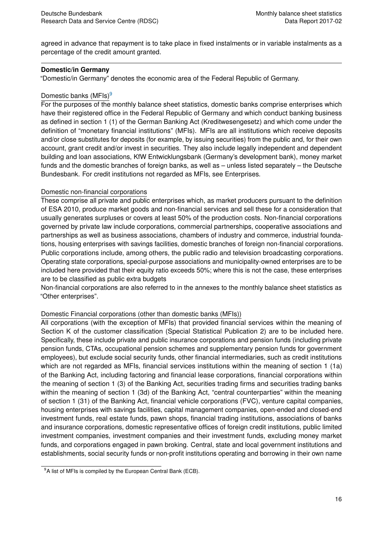agreed in advance that repayment is to take place in fixed instalments or in variable instalments as a percentage of the credit amount granted.

#### **Domestic/in Germany**

"Domestic/in Germany" denotes the economic area of the Federal Republic of Germany.

#### Domestic banks  $(MFIs)^9$  $(MFIs)^9$

For the purposes of the monthly balance sheet statistics, domestic banks comprise enterprises which have their registered office in the Federal Republic of Germany and which conduct banking business as defined in section 1 (1) of the German Banking Act (Kreditwesengesetz) and which come under the definition of "monetary financial institutions" (MFIs). MFIs are all institutions which receive deposits and/or close substitutes for deposits (for example, by issuing securities) from the public and, for their own account, grant credit and/or invest in securities. They also include legally independent and dependent building and loan associations, KfW Entwicklungsbank (Germany's development bank), money market funds and the domestic branches of foreign banks, as well as – unless listed separately – the Deutsche Bundesbank. For credit institutions not regarded as MFIs, see Enterprises.

#### Domestic non-financial corporations

These comprise all private and public enterprises which, as market producers pursuant to the definition of ESA 2010, produce market goods and non-financial services and sell these for a consideration that usually generates surpluses or covers at least 50% of the production costs. Non-financial corporations governed by private law include corporations, commercial partnerships, cooperative associations and partnerships as well as business associations, chambers of industry and commerce, industrial foundations, housing enterprises with savings facilities, domestic branches of foreign non-financial corporations. Public corporations include, among others, the public radio and television broadcasting corporations. Operating state corporations, special-purpose associations and municipality-owned enterprises are to be included here provided that their equity ratio exceeds 50%; where this is not the case, these enterprises are to be classified as public extra budgets

Non-financial corporations are also referred to in the annexes to the monthly balance sheet statistics as "Other enterprises".

#### Domestic Financial corporations (other than domestic banks (MFIs))

All corporations (with the exception of MFIs) that provided financial services within the meaning of Section K of the customer classification (Special Statistical Publication 2) are to be included here. Specifically, these include private and public insurance corporations and pension funds (including private pension funds, CTAs, occupational pension schemes and supplementary pension funds for government employees), but exclude social security funds, other financial intermediaries, such as credit institutions which are not regarded as MFIs, financial services institutions within the meaning of section 1 (1a) of the Banking Act, including factoring and financial lease corporations, financial corporations within the meaning of section 1 (3) of the Banking Act, securities trading firms and securities trading banks within the meaning of section 1 (3d) of the Banking Act, "central counterparties" within the meaning of section 1 (31) of the Banking Act, financial vehicle corporations (FVC), venture capital companies, housing enterprises with savings facilities, capital management companies, open-ended and closed-end investment funds, real estate funds, pawn shops, financial trading institutions, associations of banks and insurance corporations, domestic representative offices of foreign credit institutions, public limited investment companies, investment companies and their investment funds, excluding money market funds, and corporations engaged in pawn broking. Central, state and local government institutions and establishments, social security funds or non-profit institutions operating and borrowing in their own name

<span id="page-17-0"></span> $9A$  list of MFIs is compiled by the European Central Bank (ECB).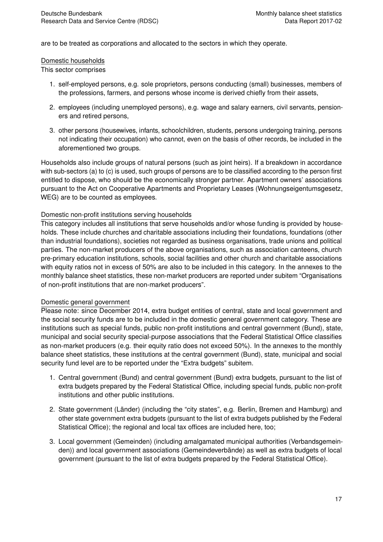are to be treated as corporations and allocated to the sectors in which they operate.

#### Domestic households

This sector comprises

- 1. self-employed persons, e.g. sole proprietors, persons conducting (small) businesses, members of the professions, farmers, and persons whose income is derived chiefly from their assets,
- 2. employees (including unemployed persons), e.g. wage and salary earners, civil servants, pensioners and retired persons,
- 3. other persons (housewives, infants, schoolchildren, students, persons undergoing training, persons not indicating their occupation) who cannot, even on the basis of other records, be included in the aforementioned two groups.

Households also include groups of natural persons (such as joint heirs). If a breakdown in accordance with sub-sectors (a) to (c) is used, such groups of persons are to be classified according to the person first entitled to dispose, who should be the economically stronger partner. Apartment owners' associations pursuant to the Act on Cooperative Apartments and Proprietary Leases (Wohnungseigentumsgesetz, WEG) are to be counted as employees.

#### Domestic non-profit institutions serving households

This category includes all institutions that serve households and/or whose funding is provided by households. These include churches and charitable associations including their foundations, foundations (other than industrial foundations), societies not regarded as business organisations, trade unions and political parties. The non-market producers of the above organisations, such as association canteens, church pre-primary education institutions, schools, social facilities and other church and charitable associations with equity ratios not in excess of 50% are also to be included in this category. In the annexes to the monthly balance sheet statistics, these non-market producers are reported under subitem "Organisations of non-profit institutions that are non-market producers".

#### Domestic general government

Please note: since December 2014, extra budget entities of central, state and local government and the social security funds are to be included in the domestic general government category. These are institutions such as special funds, public non-profit institutions and central government (Bund), state, municipal and social security special-purpose associations that the Federal Statistical Office classifies as non-market producers (e.g. their equity ratio does not exceed 50%). In the annexes to the monthly balance sheet statistics, these institutions at the central government (Bund), state, municipal and social security fund level are to be reported under the "Extra budgets" subitem.

- 1. Central government (Bund) and central government (Bund) extra budgets, pursuant to the list of extra budgets prepared by the Federal Statistical Office, including special funds, public non-profit institutions and other public institutions.
- 2. State government (Länder) (including the "city states", e.g. Berlin, Bremen and Hamburg) and other state government extra budgets (pursuant to the list of extra budgets published by the Federal Statistical Office); the regional and local tax offices are included here, too;
- 3. Local government (Gemeinden) (including amalgamated municipal authorities (Verbandsgemeinden)) and local government associations (Gemeindeverbände) as well as extra budgets of local government (pursuant to the list of extra budgets prepared by the Federal Statistical Office).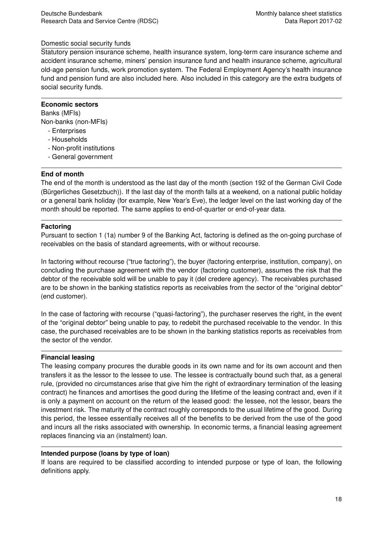#### Domestic social security funds

Statutory pension insurance scheme, health insurance system, long-term care insurance scheme and accident insurance scheme, miners' pension insurance fund and health insurance scheme, agricultural old-age pension funds, work promotion system. The Federal Employment Agency's health insurance fund and pension fund are also included here. Also included in this category are the extra budgets of social security funds.

#### **Economic sectors**

Banks (MFIs) Non-banks (non-MFIs)

- Enterprises
- Households
- Non-profit institutions
- General government

#### **End of month**

The end of the month is understood as the last day of the month (section 192 of the German Civil Code (Bürgerliches Gesetzbuch)). If the last day of the month falls at a weekend, on a national public holiday or a general bank holiday (for example, New Year's Eve), the ledger level on the last working day of the month should be reported. The same applies to end-of-quarter or end-of-year data.

#### **Factoring**

Pursuant to section 1 (1a) number 9 of the Banking Act, factoring is defined as the on-going purchase of receivables on the basis of standard agreements, with or without recourse.

In factoring without recourse ("true factoring"), the buyer (factoring enterprise, institution, company), on concluding the purchase agreement with the vendor (factoring customer), assumes the risk that the debtor of the receivable sold will be unable to pay it (del credere agency). The receivables purchased are to be shown in the banking statistics reports as receivables from the sector of the "original debtor" (end customer).

In the case of factoring with recourse ("quasi-factoring"), the purchaser reserves the right, in the event of the "original debtor" being unable to pay, to redebit the purchased receivable to the vendor. In this case, the purchased receivables are to be shown in the banking statistics reports as receivables from the sector of the vendor.

#### **Financial leasing**

The leasing company procures the durable goods in its own name and for its own account and then transfers it as the lessor to the lessee to use. The lessee is contractually bound such that, as a general rule, (provided no circumstances arise that give him the right of extraordinary termination of the leasing contract) he finances and amortises the good during the lifetime of the leasing contract and, even if it is only a payment on account on the return of the leased good: the lessee, not the lessor, bears the investment risk. The maturity of the contract roughly corresponds to the usual lifetime of the good. During this period, the lessee essentially receives all of the benefits to be derived from the use of the good and incurs all the risks associated with ownership. In economic terms, a financial leasing agreement replaces financing via an (instalment) loan.

#### **Intended purpose (loans by type of loan)**

If loans are required to be classified according to intended purpose or type of loan, the following definitions apply.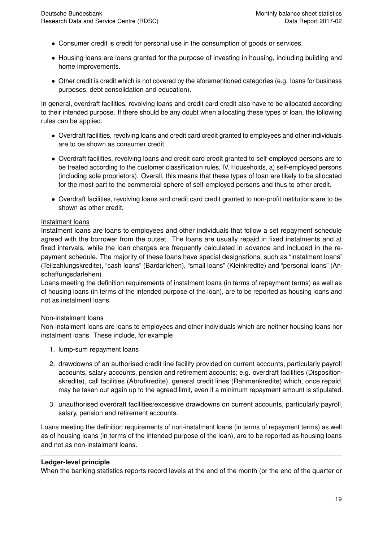- Consumer credit is credit for personal use in the consumption of goods or services.
- Housing loans are loans granted for the purpose of investing in housing, including building and home improvements.
- Other credit is credit which is not covered by the aforementioned categories (e.g. loans for business purposes, debt consolidation and education).

In general, overdraft facilities, revolving loans and credit card credit also have to be allocated according to their intended purpose. If there should be any doubt when allocating these types of loan, the following rules can be applied.

- Overdraft facilities, revolving loans and credit card credit granted to employees and other individuals are to be shown as consumer credit.
- Overdraft facilities, revolving loans and credit card credit granted to self-employed persons are to be treated according to the customer classification rules, IV. Households, a) self-employed persons (including sole proprietors). Overall, this means that these types of loan are likely to be allocated for the most part to the commercial sphere of self-employed persons and thus to other credit.
- Overdraft facilities, revolving loans and credit card credit granted to non-profit institutions are to be shown as other credit.

#### Instalment loans

Instalment loans are loans to employees and other individuals that follow a set repayment schedule agreed with the borrower from the outset. The loans are usually repaid in fixed instalments and at fixed intervals, while the loan charges are frequently calculated in advance and included in the repayment schedule. The majority of these loans have special designations, such as "instalment loans" (Teilzahlungskredite), "cash loans" (Bardarlehen), "small loans" (Kleinkredite) and "personal loans" (Anschaffungsdarlehen).

Loans meeting the definition requirements of instalment loans (in terms of repayment terms) as well as of housing loans (in terms of the intended purpose of the loan), are to be reported as housing loans and not as instalment loans.

#### Non-instalment loans

Non-instalment loans are loans to employees and other individuals which are neither housing loans nor instalment loans. These include, for example

- 1. lump-sum repayment loans
- 2. drawdowns of an authorised credit line facility provided on current accounts, particularly payroll accounts, salary accounts, pension and retirement accounts; e.g. overdraft facilities (Dispositionskredite), call facilities (Abrufkredite), general credit lines (Rahmenkredite) which, once repaid, may be taken out again up to the agreed limit, even if a minimum repayment amount is stipulated.
- 3. unauthorised overdraft facilities/excessive drawdowns on current accounts, particularly payroll, salary, pension and retirement accounts.

Loans meeting the definition requirements of non-instalment loans (in terms of repayment terms) as well as of housing loans (in terms of the intended purpose of the loan), are to be reported as housing loans and not as non-instalment loans.

#### **Ledger-level principle**

When the banking statistics reports record levels at the end of the month (or the end of the quarter or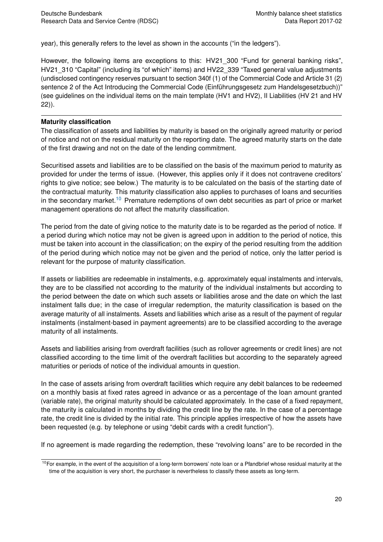year), this generally refers to the level as shown in the accounts ("in the ledgers").

However, the following items are exceptions to this: HV21\_300 "Fund for general banking risks", HV21\_310 "Capital" (including its "of which" items) and HV22\_339 "Taxed general value adjustments (undisclosed contingency reserves pursuant to section 340f (1) of the Commercial Code and Article 31 (2) sentence 2 of the Act Introducing the Commercial Code (Einführungsgesetz zum Handelsgesetzbuch))" (see guidelines on the individual items on the main template (HV1 and HV2), II Liabilities (HV 21 and HV 22)).

#### **Maturity classification**

The classification of assets and liabilities by maturity is based on the originally agreed maturity or period of notice and not on the residual maturity on the reporting date. The agreed maturity starts on the date of the first drawing and not on the date of the lending commitment.

Securitised assets and liabilities are to be classified on the basis of the maximum period to maturity as provided for under the terms of issue. (However, this applies only if it does not contravene creditors' rights to give notice; see below.) The maturity is to be calculated on the basis of the starting date of the contractual maturity. This maturity classification also applies to purchases of loans and securities in the secondary market.<sup>[10](#page-21-0)</sup> Premature redemptions of own debt securities as part of price or market management operations do not affect the maturity classification.

The period from the date of giving notice to the maturity date is to be regarded as the period of notice. If a period during which notice may not be given is agreed upon in addition to the period of notice, this must be taken into account in the classification; on the expiry of the period resulting from the addition of the period during which notice may not be given and the period of notice, only the latter period is relevant for the purpose of maturity classification.

If assets or liabilities are redeemable in instalments, e.g. approximately equal instalments and intervals, they are to be classified not according to the maturity of the individual instalments but according to the period between the date on which such assets or liabilities arose and the date on which the last instalment falls due; in the case of irregular redemption, the maturity classification is based on the average maturity of all instalments. Assets and liabilities which arise as a result of the payment of regular instalments (instalment-based in payment agreements) are to be classified according to the average maturity of all instalments.

Assets and liabilities arising from overdraft facilities (such as rollover agreements or credit lines) are not classified according to the time limit of the overdraft facilities but according to the separately agreed maturities or periods of notice of the individual amounts in question.

In the case of assets arising from overdraft facilities which require any debit balances to be redeemed on a monthly basis at fixed rates agreed in advance or as a percentage of the loan amount granted (variable rate), the original maturity should be calculated approximately. In the case of a fixed repayment, the maturity is calculated in months by dividing the credit line by the rate. In the case of a percentage rate, the credit line is divided by the initial rate. This principle applies irrespective of how the assets have been requested (e.g. by telephone or using "debit cards with a credit function").

If no agreement is made regarding the redemption, these "revolving loans" are to be recorded in the

<span id="page-21-0"></span><sup>&</sup>lt;sup>10</sup>For example, in the event of the acquisition of a long-term borrowers' note loan or a Pfandbrief whose residual maturity at the time of the acquisition is very short, the purchaser is nevertheless to classify these assets as long-term.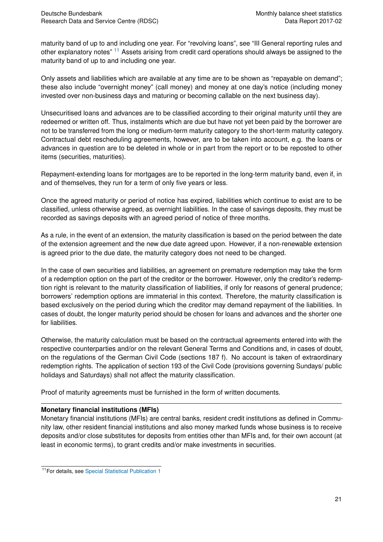maturity band of up to and including one year. For "revolving loans", see "III General reporting rules and other explanatory notes" [11](#page-22-0) Assets arising from credit card operations should always be assigned to the maturity band of up to and including one year.

Only assets and liabilities which are available at any time are to be shown as "repayable on demand"; these also include "overnight money" (call money) and money at one day's notice (including money invested over non-business days and maturing or becoming callable on the next business day).

Unsecuritised loans and advances are to be classified according to their original maturity until they are redeemed or written off. Thus, instalments which are due but have not yet been paid by the borrower are not to be transferred from the long or medium-term maturity category to the short-term maturity category. Contractual debt rescheduling agreements, however, are to be taken into account, e.g. the loans or advances in question are to be deleted in whole or in part from the report or to be reposted to other items (securities, maturities).

Repayment-extending loans for mortgages are to be reported in the long-term maturity band, even if, in and of themselves, they run for a term of only five years or less.

Once the agreed maturity or period of notice has expired, liabilities which continue to exist are to be classified, unless otherwise agreed, as overnight liabilities. In the case of savings deposits, they must be recorded as savings deposits with an agreed period of notice of three months.

As a rule, in the event of an extension, the maturity classification is based on the period between the date of the extension agreement and the new due date agreed upon. However, if a non-renewable extension is agreed prior to the due date, the maturity category does not need to be changed.

In the case of own securities and liabilities, an agreement on premature redemption may take the form of a redemption option on the part of the creditor or the borrower. However, only the creditor's redemption right is relevant to the maturity classification of liabilities, if only for reasons of general prudence; borrowers' redemption options are immaterial in this context. Therefore, the maturity classification is based exclusively on the period during which the creditor may demand repayment of the liabilities. In cases of doubt, the longer maturity period should be chosen for loans and advances and the shorter one for liabilities.

Otherwise, the maturity calculation must be based on the contractual agreements entered into with the respective counterparties and/or on the relevant General Terms and Conditions and, in cases of doubt, on the regulations of the German Civil Code (sections 187 f). No account is taken of extraordinary redemption rights. The application of section 193 of the Civil Code (provisions governing Sundays/ public holidays and Saturdays) shall not affect the maturity classification.

Proof of maturity agreements must be furnished in the form of written documents.

#### **Monetary financial institutions (MFIs)**

Monetary financial institutions (MFIs) are central banks, resident credit institutions as defined in Community law, other resident financial institutions and also money marked funds whose business is to receive deposits and/or close substitutes for deposits from entities other than MFIs and, for their own account (at least in economic terms), to grant credits and/or make investments in securities.

<span id="page-22-0"></span><sup>11</sup>For details, see [Special Statistical Publication 1](https://www.bundesbank.de/Navigation/EN/Publications/Statistics/Special_statistical_publications/Statso_1/special_statistical_publication_1.html)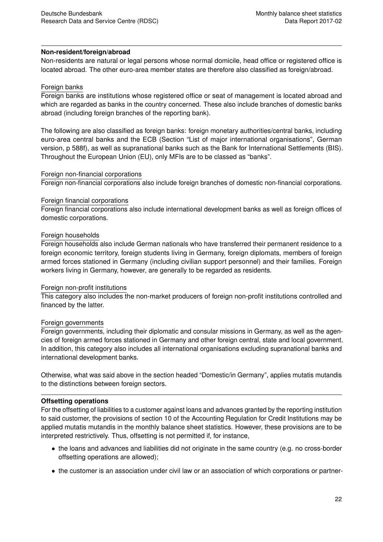#### **Non-resident/foreign/abroad**

Non-residents are natural or legal persons whose normal domicile, head office or registered office is located abroad. The other euro-area member states are therefore also classified as foreign/abroad.

#### Foreign banks

Foreign banks are institutions whose registered office or seat of management is located abroad and which are regarded as banks in the country concerned. These also include branches of domestic banks abroad (including foreign branches of the reporting bank).

The following are also classified as foreign banks: foreign monetary authorities/central banks, including euro-area central banks and the ECB (Section "List of major international organisations", German version, p 588f), as well as supranational banks such as the Bank for International Settlements (BIS). Throughout the European Union (EU), only MFIs are to be classed as "banks".

#### Foreign non-financial corporations

Foreign non-financial corporations also include foreign branches of domestic non-financial corporations.

#### Foreign financial corporations

Foreign financial corporations also include international development banks as well as foreign offices of domestic corporations.

#### Foreign households

Foreign households also include German nationals who have transferred their permanent residence to a foreign economic territory, foreign students living in Germany, foreign diplomats, members of foreign armed forces stationed in Germany (including civilian support personnel) and their families. Foreign workers living in Germany, however, are generally to be regarded as residents.

#### Foreign non-profit institutions

This category also includes the non-market producers of foreign non-profit institutions controlled and financed by the latter.

#### Foreign governments

Foreign governments, including their diplomatic and consular missions in Germany, as well as the agencies of foreign armed forces stationed in Germany and other foreign central, state and local government. In addition, this category also includes all international organisations excluding supranational banks and international development banks.

Otherwise, what was said above in the section headed "Domestic/in Germany", applies mutatis mutandis to the distinctions between foreign sectors.

#### **Offsetting operations**

For the offsetting of liabilities to a customer against loans and advances granted by the reporting institution to said customer, the provisions of section 10 of the Accounting Regulation for Credit Institutions may be applied mutatis mutandis in the monthly balance sheet statistics. However, these provisions are to be interpreted restrictively. Thus, offsetting is not permitted if, for instance,

- the loans and advances and liabilities did not originate in the same country (e.g. no cross-border offsetting operations are allowed);
- the customer is an association under civil law or an association of which corporations or partner-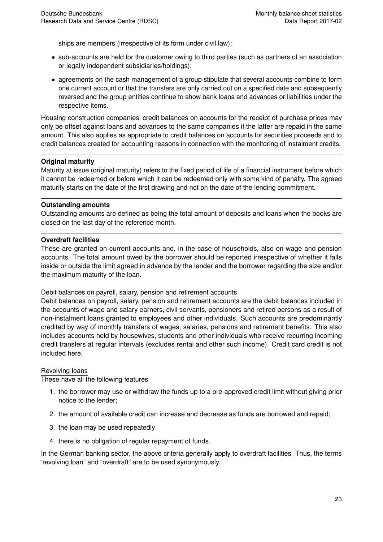ships are members (irrespective of its form under civil law);

- sub-accounts are held for the customer owing to third parties (such as partners of an association or legally independent subsidiaries/holdings);
- agreements on the cash management of a group stipulate that several accounts combine to form one current account or that the transfers are only carried out on a specified date and subsequently reversed and the group entities continue to show bank loans and advances or liabilities under the respective items.

Housing construction companies' credit balances on accounts for the receipt of purchase prices may only be offset against loans and advances to the same companies if the latter are repaid in the same amount. This also applies as appropriate to credit balances on accounts for securities proceeds and to credit balances created for accounting reasons in connection with the monitoring of instalment credits.

#### **Original maturity**

Maturity at issue (original maturity) refers to the fixed period of life of a financial instrument before which it cannot be redeemed or before which it can be redeemed only with some kind of penalty. The agreed maturity starts on the date of the first drawing and not on the date of the lending commitment.

#### **Outstanding amounts**

Outstanding amounts are defined as being the total amount of deposits and loans when the books are closed on the last day of the reference month.

#### **Overdraft facilities**

These are granted on current accounts and, in the case of households, also on wage and pension accounts. The total amount owed by the borrower should be reported irrespective of whether it falls inside or outside the limit agreed in advance by the lender and the borrower regarding the size and/or the maximum maturity of the loan.

#### Debit balances on payroll, salary, pension and retirement accounts

Debit balances on payroll, salary, pension and retirement accounts are the debit balances included in the accounts of wage and salary earners, civil servants, pensioners and retired persons as a result of non-instalment loans granted to employees and other individuals. Such accounts are predominantly credited by way of monthly transfers of wages, salaries, pensions and retirement benefits. This also includes accounts held by housewives, students and other individuals who receive recurring incoming credit transfers at regular intervals (excludes rental and other such income). Credit card credit is not included here.

#### Revolving loans

These have all the following features

- 1. the borrower may use or withdraw the funds up to a pre-approved credit limit without giving prior notice to the lender;
- 2. the amount of available credit can increase and decrease as funds are borrowed and repaid;
- 3. the loan may be used repeatedly
- 4. there is no obligation of regular repayment of funds.

In the German banking sector, the above criteria generally apply to overdraft facilities. Thus, the terms "revolving loan" and "overdraft" are to be used synonymously.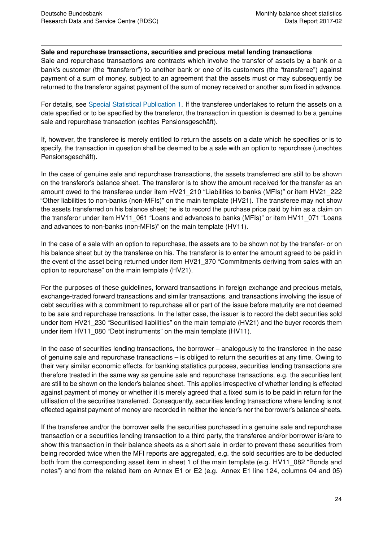#### **Sale and repurchase transactions, securities and precious metal lending transactions**

Sale and repurchase transactions are contracts which involve the transfer of assets by a bank or a bank's customer (the "transferor") to another bank or one of its customers (the "transferee") against payment of a sum of money, subject to an agreement that the assets must or may subsequently be returned to the transferor against payment of the sum of money received or another sum fixed in advance.

For details, see [Special Statistical Publication 1.](https://www.bundesbank.de/Navigation/EN/Publications/Statistics/Special_statistical_publications/Statso_1/special_statistical_publication_1.html) If the transferee undertakes to return the assets on a date specified or to be specified by the transferor, the transaction in question is deemed to be a genuine sale and repurchase transaction (echtes Pensionsgeschäft).

If, however, the transferee is merely entitled to return the assets on a date which he specifies or is to specify, the transaction in question shall be deemed to be a sale with an option to repurchase (unechtes Pensionsgeschäft).

In the case of genuine sale and repurchase transactions, the assets transferred are still to be shown on the transferor's balance sheet. The transferor is to show the amount received for the transfer as an amount owed to the transferee under item HV21\_210 "Liabilities to banks (MFIs)" or item HV21\_222 "Other liabilities to non-banks (non-MFIs)" on the main template (HV21). The transferee may not show the assets transferred on his balance sheet; he is to record the purchase price paid by him as a claim on the transferor under item HV11\_061 "Loans and advances to banks (MFIs)" or item HV11\_071 "Loans and advances to non-banks (non-MFIs)" on the main template (HV11).

In the case of a sale with an option to repurchase, the assets are to be shown not by the transfer- or on his balance sheet but by the transferee on his. The transferor is to enter the amount agreed to be paid in the event of the asset being returned under item HV21\_370 "Commitments deriving from sales with an option to repurchase" on the main template (HV21).

For the purposes of these guidelines, forward transactions in foreign exchange and precious metals, exchange-traded forward transactions and similar transactions, and transactions involving the issue of debt securities with a commitment to repurchase all or part of the issue before maturity are not deemed to be sale and repurchase transactions. In the latter case, the issuer is to record the debt securities sold under item HV21\_230 "Securitised liabilities" on the main template (HV21) and the buyer records them under item HV11\_080 "Debt instruments" on the main template (HV11).

In the case of securities lending transactions, the borrower – analogously to the transferee in the case of genuine sale and repurchase transactions – is obliged to return the securities at any time. Owing to their very similar economic effects, for banking statistics purposes, securities lending transactions are therefore treated in the same way as genuine sale and repurchase transactions, e.g. the securities lent are still to be shown on the lender's balance sheet. This applies irrespective of whether lending is effected against payment of money or whether it is merely agreed that a fixed sum is to be paid in return for the utilisation of the securities transferred. Consequently, securities lending transactions where lending is not effected against payment of money are recorded in neither the lender's nor the borrower's balance sheets.

If the transferee and/or the borrower sells the securities purchased in a genuine sale and repurchase transaction or a securities lending transaction to a third party, the transferee and/or borrower is/are to show this transaction in their balance sheets as a short sale in order to prevent these securities from being recorded twice when the MFI reports are aggregated, e.g. the sold securities are to be deducted both from the corresponding asset item in sheet 1 of the main template (e.g. HV11\_082 "Bonds and notes") and from the related item on Annex E1 or E2 (e.g. Annex E1 line 124, columns 04 and 05)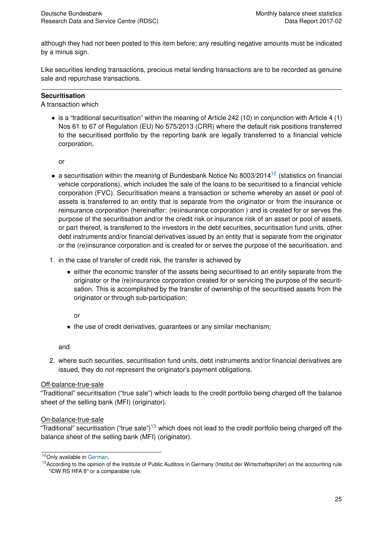although they had not been posted to this item before; any resulting negative amounts must be indicated by a minus sign.

Like securities lending transactions, precious metal lending transactions are to be recorded as genuine sale and repurchase transactions.

#### **Securitisation**

A transaction which

• is a "traditional securitisation" within the meaning of Article 242 (10) in conjunction with Article 4 (1) Nos 61 to 67 of Regulation (EU) No 575/2013 (CRR) where the default risk positions transferred to the securitised portfolio by the reporting bank are legally transferred to a financial vehicle corporation,

or

- a securitisation within the meaning of Bundesbank Notice No 8003/2014<sup>[12](#page-26-0)</sup> (statistics on financial vehicle corporations), which includes the sale of the loans to be securitised to a financial vehicle corporation (FVC). Securitisation means a transaction or scheme whereby an asset or pool of assets is transferred to an entity that is separate from the originator or from the insurance or reinsurance corporation (hereinafter: (re)insurance corporation ) and is created for or serves the purpose of the securitisation and/or the credit risk or insurance risk of an asset or pool of assets, or part thereof, is transferred to the investors in the debt securities, securitisation fund units, other debt instruments and/or financial derivatives issued by an entity that is separate from the originator or the (re)insurance corporation and is created for or serves the purpose of the securitisation, and
- 1. in the case of transfer of credit risk, the transfer is achieved by
	- either the economic transfer of the assets being securitised to an entity separate from the originator or the (re)insurance corporation created for or servicing the purpose of the securitisation. This is accomplished by the transfer of ownership of the securitised assets from the originator or through sub-participation;

or

• the use of credit derivatives, guarantees or any similar mechanism;

and

2. where such securities, securitisation fund units, debt instruments and/or financial derivatives are issued, they do not represent the originator's payment obligations.

#### Off-balance-true-sale

"Traditional" securitisation ("true sale") which leads to the credit portfolio being charged off the balance sheet of the selling bank (MFI) (originator).

#### On-balance-true-sale

"Traditional" securitisation ("true sale")<sup>[13](#page-26-1)</sup> which does not lead to the credit portfolio being charged off the balance sheet of the selling bank (MFI) (originator).

<span id="page-26-0"></span> $12$ Only available in [German.](http://www.bundesbank.de/Redaktion/DE/Downloads/Bundesbank/Aufgaben_und_Organisation/Mitteilungen/Meldebestimmungen/2014_04_09_8003.pdf?__blob=publicationFile)

<span id="page-26-1"></span><sup>&</sup>lt;sup>13</sup>According to the opinion of the Institute of Public Auditors in Germany (Institut der Wirtschaftsprüfer) on the accounting rule "IDW RS HFA 8" or a comparable rule.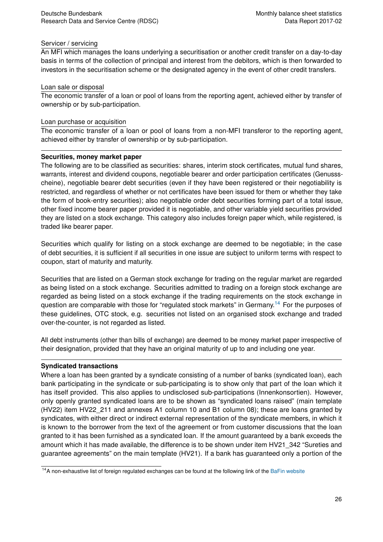#### Servicer / servicing

An MFI which manages the loans underlying a securitisation or another credit transfer on a day-to-day basis in terms of the collection of principal and interest from the debitors, which is then forwarded to investors in the securitisation scheme or the designated agency in the event of other credit transfers.

#### Loan sale or disposal

The economic transfer of a loan or pool of loans from the reporting agent, achieved either by transfer of ownership or by sub-participation.

#### Loan purchase or acquisition

The economic transfer of a loan or pool of loans from a non-MFI transferor to the reporting agent, achieved either by transfer of ownership or by sub-participation.

#### **Securities, money market paper**

The following are to be classified as securities: shares, interim stock certificates, mutual fund shares, warrants, interest and dividend coupons, negotiable bearer and order participation certificates (Genussscheine), negotiable bearer debt securities (even if they have been registered or their negotiability is restricted, and regardless of whether or not certificates have been issued for them or whether they take the form of book-entry securities); also negotiable order debt securities forming part of a total issue, other fixed income bearer paper provided it is negotiable, and other variable yield securities provided they are listed on a stock exchange. This category also includes foreign paper which, while registered, is traded like bearer paper.

Securities which qualify for listing on a stock exchange are deemed to be negotiable; in the case of debt securities, it is sufficient if all securities in one issue are subject to uniform terms with respect to coupon, start of maturity and maturity.

Securities that are listed on a German stock exchange for trading on the regular market are regarded as being listed on a stock exchange. Securities admitted to trading on a foreign stock exchange are regarded as being listed on a stock exchange if the trading requirements on the stock exchange in question are comparable with those for "regulated stock markets" in Germany.<sup>[14](#page-27-0)</sup> For the purposes of these guidelines, OTC stock, e.g. securities not listed on an organised stock exchange and traded over-the-counter, is not regarded as listed.

All debt instruments (other than bills of exchange) are deemed to be money market paper irrespective of their designation, provided that they have an original maturity of up to and including one year.

#### **Syndicated transactions**

Where a loan has been granted by a syndicate consisting of a number of banks (syndicated loan), each bank participating in the syndicate or sub-participating is to show only that part of the loan which it has itself provided. This also applies to undisclosed sub-participations (Innenkonsortien). However, only openly granted syndicated loans are to be shown as "syndicated loans raised" (main template (HV22) item HV22\_211 and annexes A1 column 10 and B1 column 08); these are loans granted by syndicates, with either direct or indirect external representation of the syndicate members, in which it is known to the borrower from the text of the agreement or from customer discussions that the loan granted to it has been furnished as a syndicated loan. If the amount guaranteed by a bank exceeds the amount which it has made available, the difference is to be shown under item HV21\_342 "Sureties and guarantee agreements" on the main template (HV21). If a bank has guaranteed only a portion of the

<span id="page-27-0"></span><sup>&</sup>lt;sup>14</sup>A non-exhaustive list of foreign regulated exchanges can be found at the following link of the [BaFin website](https://www.bafin.de/SharedDocs/Veroeffentlichungen/DE/Auslegungsentscheidung/WA/ae_080208_boersenInvG.html)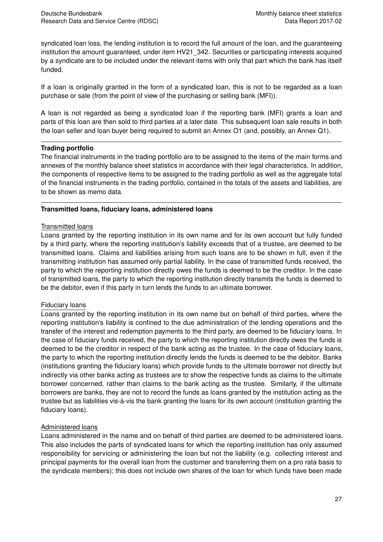syndicated loan loss, the lending institution is to record the full amount of the loan, and the guaranteeing institution the amount guaranteed, under item HV21\_342. Securities or participating interests acquired by a syndicate are to be included under the relevant items with only that part which the bank has itself funded.

If a loan is originally granted in the form of a syndicated loan, this is not to be regarded as a loan purchase or sale (from the point of view of the purchasing or selling bank (MFI)).

A loan is not regarded as being a syndicated loan if the reporting bank (MFI) grants a loan and parts of this loan are then sold to third parties at a later date. This subsequent loan sale results in both the loan seller and loan buyer being required to submit an Annex O1 (and, possibly, an Annex Q1).

#### **Trading portfolio**

The financial instruments in the trading portfolio are to be assigned to the items of the main forms and annexes of the monthly balance sheet statistics in accordance with their legal characteristics. In addition, the components of respective items to be assigned to the trading portfolio as well as the aggregate total of the financial instruments in the trading portfolio, contained in the totals of the assets and liabilities, are to be shown as memo data.

#### **Transmitted loans, fiduciary loans, administered loans**

#### Transmitted loans

Loans granted by the reporting institution in its own name and for its own account but fully funded by a third party, where the reporting institution's liability exceeds that of a trustee, are deemed to be transmitted loans. Claims and liabilities arising from such loans are to be shown in full, even if the transmitting institution has assumed only partial liability. In the case of transmitted funds received, the party to which the reporting institution directly owes the funds is deemed to be the creditor. In the case of transmitted loans, the party to which the reporting institution directly transmits the funds is deemed to be the debitor, even if this party in turn lends the funds to an ultimate borrower.

#### Fiduciary loans

Loans granted by the reporting institution in its own name but on behalf of third parties, where the reporting institution's liability is confined to the due administration of the lending operations and the transfer of the interest and redemption payments to the third party, are deemed to be fiduciary loans. In the case of fiduciary funds received, the party to which the reporting institution directly owes the funds is deemed to be the creditor in respect of the bank acting as the trustee. In the case of fiduciary loans, the party to which the reporting institution directly lends the funds is deemed to be the debitor. Banks (institutions granting the fiduciary loans) which provide funds to the ultimate borrower not directly but indirectly via other banks acting as trustees are to show the respective funds as claims to the ultimate borrower concerned, rather than claims to the bank acting as the trustee. Similarly, if the ultimate borrowers are banks, they are not to record the funds as loans granted by the institution acting as the trustee but as liabilities vis-à-vis the bank granting the loans for its own account (institution granting the fiduciary loans).

#### Administered loans

Loans administered in the name and on behalf of third parties are deemed to be administered loans. This also includes the parts of syndicated loans for which the reporting institution has only assumed responsibility for servicing or administering the loan but not the liability (e.g. collecting interest and principal payments for the overall loan from the customer and transferring them on a pro rata basis to the syndicate members); this does not include own shares of the loan for which funds have been made